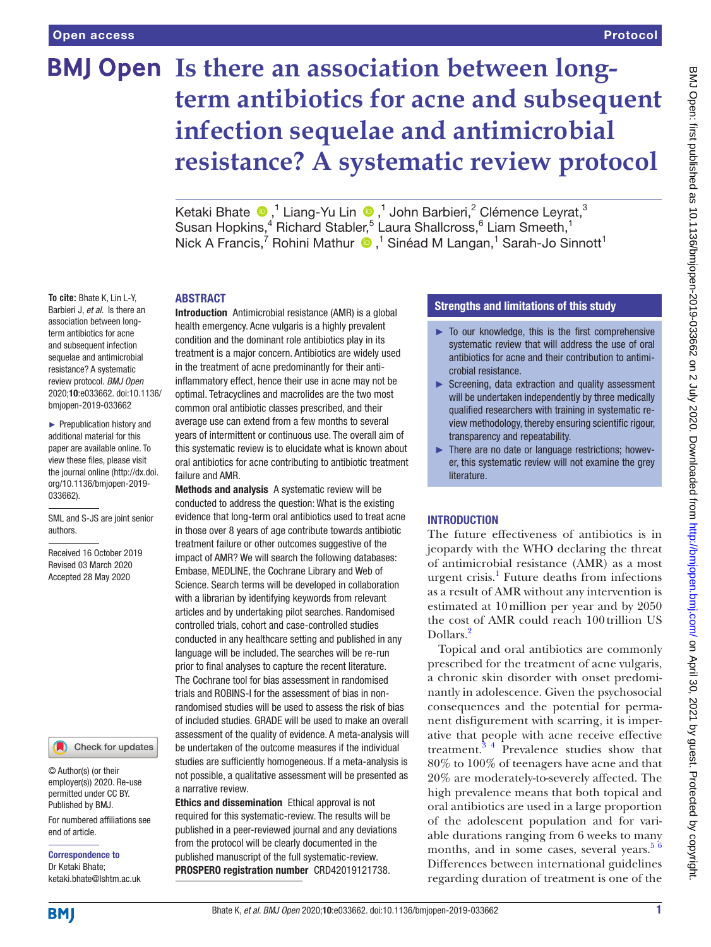**To cite:** Bhate K, Lin L-Y, Barbieri J, *et al*. Is there an association between longterm antibiotics for acne and subsequent infection sequelae and antimicrobial resistance? A systematic review protocol. *BMJ Open* 2020;10:e033662. doi:10.1136/ bmjopen-2019-033662 ► Prepublication history and additional material for this paper are available online. To view these files, please visit the journal online (http://dx.doi. org/10.1136/bmjopen-2019-

033662).

authors.

SML and S-JS are joint senior

Received 16 October 2019 Revised 03 March 2020 Accepted 28 May 2020

# **BMJ Open Is there an association between longterm antibiotics for acne and subsequent infection sequelae and antimicrobial resistance? A systematic review protocol**

Ketaki Bhate  $\bigcirc$ , <sup>1</sup> Liang-Yu Lin  $\bigcirc$ , <sup>1</sup> John Barbieri, <sup>2</sup> Clémence Leyrat, <sup>3</sup> Susan Hopkins,<sup>4</sup> Richard Stabler,<sup>5</sup> Laura Shallcross,<sup>6</sup> Liam Smeeth,<sup>1</sup> NickA Francis,<sup>7</sup> Rohini Mathur <sup>®</sup>,<sup>1</sup> Sinéad M Langan,<sup>1</sup> Sarah-Jo Sinnott<sup>1</sup>

# **ABSTRACT**

Introduction Antimicrobial resistance (AMR) is a global health emergency. Acne vulgaris is a highly prevalent condition and the dominant role antibiotics play in its treatment is a major concern. Antibiotics are widely used in the treatment of acne predominantly for their antiinflammatory effect, hence their use in acne may not be optimal. Tetracyclines and macrolides are the two most common oral antibiotic classes prescribed, and their average use can extend from a few months to several years of intermittent or continuous use. The overall aim of this systematic review is to elucidate what is known about oral antibiotics for acne contributing to antibiotic treatment failure and AMR.

Methods and analysis A systematic review will be conducted to address the question: What is the existing evidence that long-term oral antibiotics used to treat acne in those over 8 years of age contribute towards antibiotic treatment failure or other outcomes suggestive of the impact of AMR? We will search the following databases: Embase, MEDLINE, the Cochrane Library and Web of Science. Search terms will be developed in collaboration with a librarian by identifying keywords from relevant articles and by undertaking pilot searches. Randomised controlled trials, cohort and case-controlled studies conducted in any healthcare setting and published in any language will be included. The searches will be re-run prior to final analyses to capture the recent literature. The Cochrane tool for bias assessment in randomised trials and ROBINS-I for the assessment of bias in nonrandomised studies will be used to assess the risk of bias of included studies. GRADE will be used to make an overall assessment of the quality of evidence. A meta-analysis will be undertaken of the outcome measures if the individual studies are sufficiently homogeneous. If a meta-analysis is not possible, a qualitative assessment will be presented as a narrative review.

Ethics and dissemination Ethical approval is not required for this systematic-review. The results will be published in a peer-reviewed journal and any deviations from the protocol will be clearly documented in the published manuscript of the full systematic-review. PROSPERO registration number CRD42019121738.

# Strengths and limitations of this study

- $\blacktriangleright$  To our knowledge, this is the first comprehensive systematic review that will address the use of oral antibiotics for acne and their contribution to antimicrobial resistance.
- ► Screening, data extraction and quality assessment will be undertaken independently by three medically qualified researchers with training in systematic review methodology, thereby ensuring scientific rigour, transparency and repeatability.
- ► There are no date or language restrictions; however, this systematic review will not examine the grey literature.

# **INTRODUCTION**

The future effectiveness of antibiotics is in jeopardy with the WHO declaring the threat of antimicrobial resistance (AMR) as a most urgent crisis.<sup>1</sup> Future deaths from infections as a result of AMR without any intervention is estimated at 10million per year and by 2050 the cost of AMR could reach 100 trillion US Dollars<sup>[2](#page-4-0)</sup>

Topical and oral antibiotics are commonly prescribed for the treatment of acne vulgaris, a chronic skin disorder with onset predominantly in adolescence. Given the psychosocial consequences and the potential for permanent disfigurement with scarring, it is imperative that people with acne receive effective treatment.[3 4](#page-4-1) Prevalence studies show that 80% to 100% of teenagers have acne and that 20% are moderately-to-severely affected. The high prevalence means that both topical and oral antibiotics are used in a large proportion of the adolescent population and for variable durations ranging from 6 weeks to many months, and in some cases, several years. $56$ Differences between international guidelines regarding duration of treatment is one of the

#### permitted under CC BY. Published by BMJ.

© Author(s) (or their employer(s)) 2020. Re-use

For numbered affiliations see end of article.

Check for updates

Correspondence to Dr Ketaki Bhate; ketaki.bhate@lshtm.ac.uk

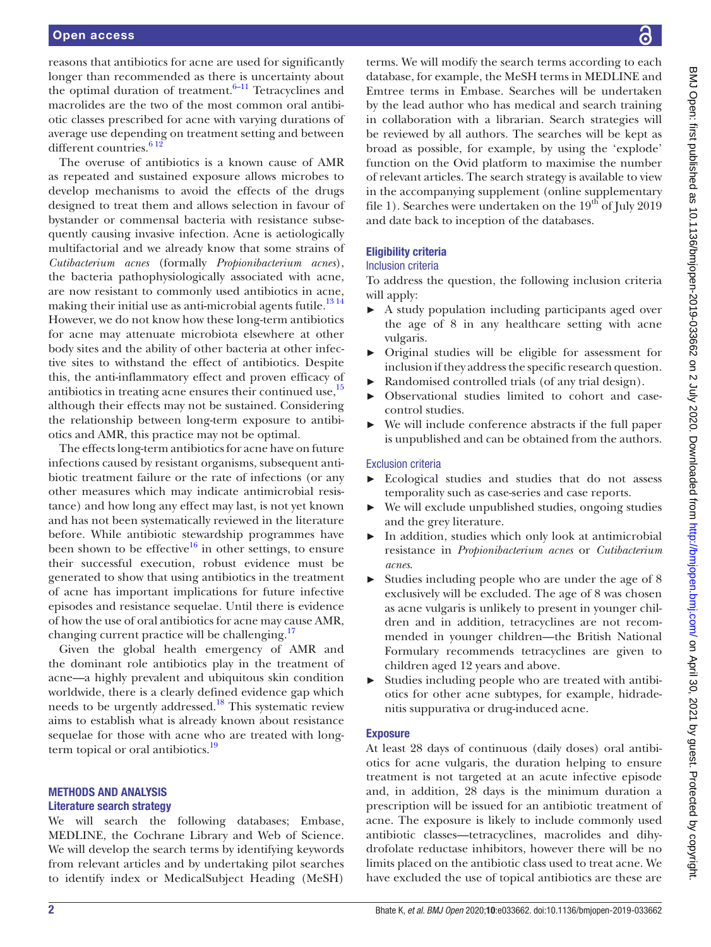reasons that antibiotics for acne are used for significantly longer than recommended as there is uncertainty about the optimal duration of treatment. $6-11$  Tetracyclines and macrolides are the two of the most common oral antibiotic classes prescribed for acne with varying durations of average use depending on treatment setting and between different countries.<sup>612</sup>

The overuse of antibiotics is a known cause of AMR as repeated and sustained exposure allows microbes to develop mechanisms to avoid the effects of the drugs designed to treat them and allows selection in favour of bystander or commensal bacteria with resistance subsequently causing invasive infection. Acne is aetiologically multifactorial and we already know that some strains of *Cutibacterium acnes* (formally *Propionibacterium acnes*), the bacteria pathophysiologically associated with acne, are now resistant to commonly used antibiotics in acne, making their initial use as anti-microbial agents futile.<sup>1314</sup> However, we do not know how these long-term antibiotics for acne may attenuate microbiota elsewhere at other body sites and the ability of other bacteria at other infective sites to withstand the effect of antibiotics. Despite this, the anti-inflammatory effect and proven efficacy of antibiotics in treating acne ensures their continued use, $15$ although their effects may not be sustained. Considering the relationship between long-term exposure to antibiotics and AMR, this practice may not be optimal.

The effects long-term antibiotics for acne have on future infections caused by resistant organisms, subsequent antibiotic treatment failure or the rate of infections (or any other measures which may indicate antimicrobial resistance) and how long any effect may last, is not yet known and has not been systematically reviewed in the literature before. While antibiotic stewardship programmes have been shown to be effective<sup>16</sup> in other settings, to ensure their successful execution, robust evidence must be generated to show that using antibiotics in the treatment of acne has important implications for future infective episodes and resistance sequelae. Until there is evidence of how the use of oral antibiotics for acne may cause AMR, changing current practice will be challenging.<sup>[17](#page-4-7)</sup>

Given the global health emergency of AMR and the dominant role antibiotics play in the treatment of acne—a highly prevalent and ubiquitous skin condition worldwide, there is a clearly defined evidence gap which needs to be urgently addressed[.18](#page-4-8) This systematic review aims to establish what is already known about resistance sequelae for those with acne who are treated with longterm topical or oral antibiotics. $19$ 

# Methods and analysis Literature search strategy

We will search the following databases; Embase, MEDLINE, the Cochrane Library and Web of Science. We will develop the search terms by identifying keywords from relevant articles and by undertaking pilot searches to identify index or MedicalSubject Heading (MeSH)

terms. We will modify the search terms according to each database, for example, the MeSH terms in MEDLINE and Emtree terms in Embase. Searches will be undertaken by the lead author who has medical and search training in collaboration with a librarian. Search strategies will be reviewed by all authors. The searches will be kept as broad as possible, for example, by using the 'explode' function on the Ovid platform to maximise the number of relevant articles. The search strategy is available to view in the accompanying supplement [\(online supplementary](https://dx.doi.org/10.1136/bmjopen-2019-033662)  [file 1](https://dx.doi.org/10.1136/bmjopen-2019-033662)). Searches were undertaken on the  $19<sup>th</sup>$  of July 2019 and date back to inception of the databases.

# Eligibility criteria

# Inclusion criteria

To address the question, the following inclusion criteria will apply:

- ► A study population including participants aged over the age of 8 in any healthcare setting with acne vulgaris.
- ► Original studies will be eligible for assessment for inclusion if they address the specific research question.
- ► Randomised controlled trials (of any trial design).
- ► Observational studies limited to cohort and casecontrol studies.
- ► We will include conference abstracts if the full paper is unpublished and can be obtained from the authors.

# Exclusion criteria

- ► Ecological studies and studies that do not assess temporality such as case-series and case reports.
- We will exclude unpublished studies, ongoing studies and the grey literature.
- In addition, studies which only look at antimicrobial resistance in *Propionibacterium acnes* or *Cutibacterium acnes*.
- ► Studies including people who are under the age of 8 exclusively will be excluded. The age of 8 was chosen as acne vulgaris is unlikely to present in younger children and in addition, tetracyclines are not recommended in younger children—the British National Formulary recommends tetracyclines are given to children aged 12 years and above.
- ► Studies including people who are treated with antibiotics for other acne subtypes, for example, hidradenitis suppurativa or drug-induced acne.

# Exposure

At least 28 days of continuous (daily doses) oral antibiotics for acne vulgaris, the duration helping to ensure treatment is not targeted at an acute infective episode and, in addition, 28 days is the minimum duration a prescription will be issued for an antibiotic treatment of acne. The exposure is likely to include commonly used antibiotic classes—tetracyclines, macrolides and dihydrofolate reductase inhibitors, however there will be no limits placed on the antibiotic class used to treat acne. We have excluded the use of topical antibiotics are these are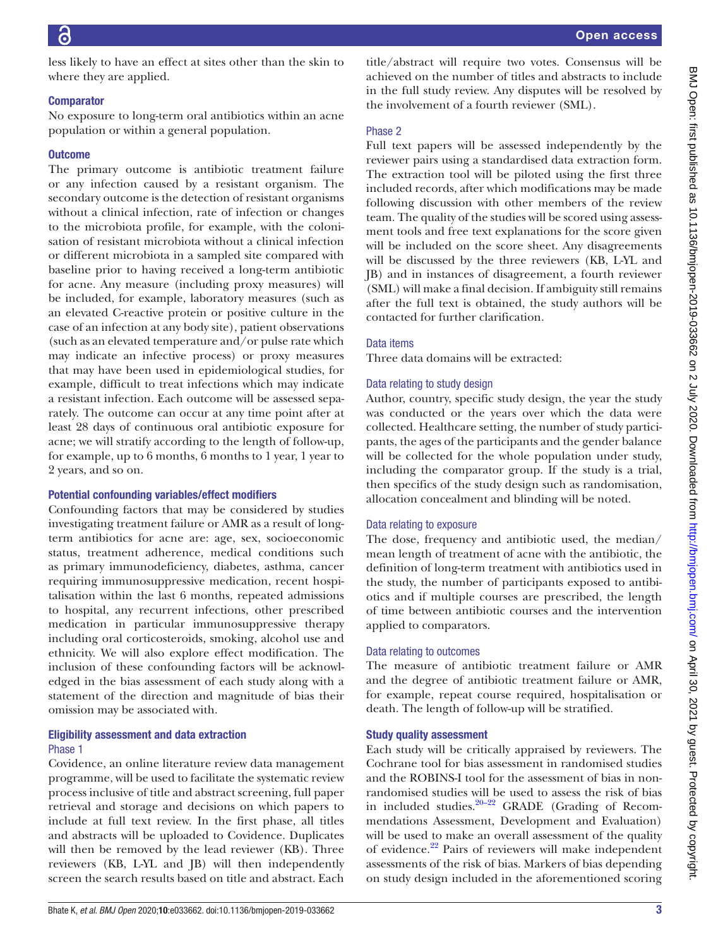less likely to have an effect at sites other than the skin to where they are applied.

# **Comparator**

No exposure to long-term oral antibiotics within an acne population or within a general population.

# **Outcome**

The primary outcome is antibiotic treatment failure or any infection caused by a resistant organism. The secondary outcome is the detection of resistant organisms without a clinical infection, rate of infection or changes to the microbiota profile, for example, with the colonisation of resistant microbiota without a clinical infection or different microbiota in a sampled site compared with baseline prior to having received a long-term antibiotic for acne. Any measure (including proxy measures) will be included, for example, laboratory measures (such as an elevated C-reactive protein or positive culture in the case of an infection at any body site), patient observations (such as an elevated temperature and/or pulse rate which may indicate an infective process) or proxy measures that may have been used in epidemiological studies, for example, difficult to treat infections which may indicate a resistant infection. Each outcome will be assessed separately. The outcome can occur at any time point after at least 28 days of continuous oral antibiotic exposure for acne; we will stratify according to the length of follow-up, for example, up to 6 months, 6 months to 1 year, 1 year to 2 years, and so on.

# Potential confounding variables/effect modifiers

Confounding factors that may be considered by studies investigating treatment failure or AMR as a result of longterm antibiotics for acne are: age, sex, socioeconomic status, treatment adherence, medical conditions such as primary immunodeficiency, diabetes, asthma, cancer requiring immunosuppressive medication, recent hospitalisation within the last 6 months, repeated admissions to hospital, any recurrent infections, other prescribed medication in particular immunosuppressive therapy including oral corticosteroids, smoking, alcohol use and ethnicity. We will also explore effect modification. The inclusion of these confounding factors will be acknowledged in the bias assessment of each study along with a statement of the direction and magnitude of bias their omission may be associated with.

# Eligibility assessment and data extraction Phase 1

Covidence, an online literature review data management programme, will be used to facilitate the systematic review process inclusive of title and abstract screening, full paper retrieval and storage and decisions on which papers to include at full text review. In the first phase, all titles and abstracts will be uploaded to Covidence. Duplicates will then be removed by the lead reviewer (KB). Three reviewers (KB, L-YL and JB) will then independently screen the search results based on title and abstract. Each

Bhate K, *et al*. *BMJ Open* 2020;10:e033662. doi:10.1136/bmjopen-2019-033662 3

title/abstract will require two votes. Consensus will be achieved on the number of titles and abstracts to include in the full study review. Any disputes will be resolved by the involvement of a fourth reviewer (SML).

# Phase 2

Full text papers will be assessed independently by the reviewer pairs using a standardised data extraction form. The extraction tool will be piloted using the first three included records, after which modifications may be made following discussion with other members of the review team. The quality of the studies will be scored using assessment tools and free text explanations for the score given will be included on the score sheet. Any disagreements will be discussed by the three reviewers (KB, L-YL and JB) and in instances of disagreement, a fourth reviewer (SML) will make a final decision. If ambiguity still remains after the full text is obtained, the study authors will be contacted for further clarification.

# Data items

Three data domains will be extracted:

# Data relating to study design

Author, country, specific study design, the year the study was conducted or the years over which the data were collected. Healthcare setting, the number of study participants, the ages of the participants and the gender balance will be collected for the whole population under study, including the comparator group. If the study is a trial, then specifics of the study design such as randomisation, allocation concealment and blinding will be noted.

# Data relating to exposure

The dose, frequency and antibiotic used, the median/ mean length of treatment of acne with the antibiotic, the definition of long-term treatment with antibiotics used in the study, the number of participants exposed to antibiotics and if multiple courses are prescribed, the length of time between antibiotic courses and the intervention applied to comparators.

# Data relating to outcomes

The measure of antibiotic treatment failure or AMR and the degree of antibiotic treatment failure or AMR, for example, repeat course required, hospitalisation or death. The length of follow-up will be stratified.

# Study quality assessment

Each study will be critically appraised by reviewers. The Cochrane tool for bias assessment in randomised studies and the ROBINS-I tool for the assessment of bias in nonrandomised studies will be used to assess the risk of bias in included studies. $20-22$  GRADE (Grading of Recommendations Assessment, Development and Evaluation) will be used to make an overall assessment of the quality of evidence.<sup>22</sup> Pairs of reviewers will make independent assessments of the risk of bias. Markers of bias depending on study design included in the aforementioned scoring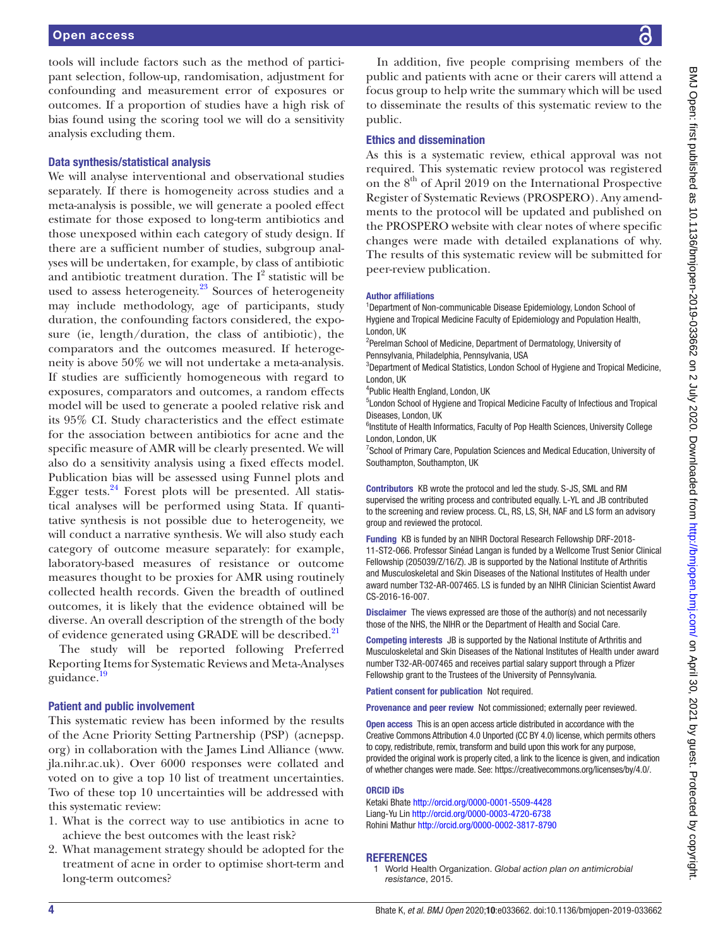tools will include factors such as the method of participant selection, follow-up, randomisation, adjustment for confounding and measurement error of exposures or outcomes. If a proportion of studies have a high risk of bias found using the scoring tool we will do a sensitivity analysis excluding them.

# Data synthesis/statistical analysis

We will analyse interventional and observational studies separately. If there is homogeneity across studies and a meta-analysis is possible, we will generate a pooled effect estimate for those exposed to long-term antibiotics and those unexposed within each category of study design. If there are a sufficient number of studies, subgroup analyses will be undertaken, for example, by class of antibiotic and antibiotic treatment duration. The  $I^2$  statistic will be used to assess heterogeneity.<sup>[23](#page-4-12)</sup> Sources of heterogeneity may include methodology, age of participants, study duration, the confounding factors considered, the exposure (ie, length/duration, the class of antibiotic), the comparators and the outcomes measured. If heterogeneity is above 50% we will not undertake a meta-analysis. If studies are sufficiently homogeneous with regard to exposures, comparators and outcomes, a random effects model will be used to generate a pooled relative risk and its 95% CI. Study characteristics and the effect estimate for the association between antibiotics for acne and the specific measure of AMR will be clearly presented. We will also do a sensitivity analysis using a fixed effects model. Publication bias will be assessed using Funnel plots and Egger tests. $24$  Forest plots will be presented. All statistical analyses will be performed using Stata. If quantitative synthesis is not possible due to heterogeneity, we will conduct a narrative synthesis. We will also study each category of outcome measure separately: for example, laboratory-based measures of resistance or outcome measures thought to be proxies for AMR using routinely collected health records. Given the breadth of outlined outcomes, it is likely that the evidence obtained will be diverse. An overall description of the strength of the body of evidence generated using GRADE will be described.<sup>[21](#page-4-14)</sup>

The study will be reported following Preferred Reporting Items for Systematic Reviews and Meta-Analyses guidance.<sup>19</sup>

# Patient and public involvement

This systematic review has been informed by the results of the Acne Priority Setting Partnership (PSP) (acnepsp. org) in collaboration with the James Lind Alliance [\(www.](www.jla.nihr.ac.uk) [jla.nihr.ac.uk\)](www.jla.nihr.ac.uk). Over 6000 responses were collated and voted on to give a top 10 list of treatment uncertainties. Two of these top 10 uncertainties will be addressed with this systematic review:

- 1. What is the correct way to use antibiotics in acne to achieve the best outcomes with the least risk?
- 2. What management strategy should be adopted for the treatment of acne in order to optimise short-term and long-term outcomes?

In addition, five people comprising members of the public and patients with acne or their carers will attend a focus group to help write the summary which will be used to disseminate the results of this systematic review to the public.

# Ethics and dissemination

As this is a systematic review, ethical approval was not required. This systematic review protocol was registered on the 8<sup>th</sup> of April 2019 on the International Prospective Register of Systematic Reviews (PROSPERO). Any amendments to the protocol will be updated and published on the PROSPERO website with clear notes of where specific changes were made with detailed explanations of why. The results of this systematic review will be submitted for peer-review publication.

#### Author affiliations

<sup>1</sup>Department of Non-communicable Disease Epidemiology, London School of Hygiene and Tropical Medicine Faculty of Epidemiology and Population Health, London, UK

<sup>2</sup>Perelman School of Medicine, Department of Dermatology, University of Pennsylvania, Philadelphia, Pennsylvania, USA

<sup>3</sup>Department of Medical Statistics, London School of Hygiene and Tropical Medicine, London, UK

4 Public Health England, London, UK

5 London School of Hygiene and Tropical Medicine Faculty of Infectious and Tropical Diseases, London, UK

<sup>6</sup>Institute of Health Informatics, Faculty of Pop Health Sciences, University College London, London, UK

<sup>7</sup> School of Primary Care, Population Sciences and Medical Education, University of Southampton, Southampton, UK

Contributors KB wrote the protocol and led the study. S-JS, SML and RM supervised the writing process and contributed equally. L-YL and JB contributed to the screening and review process. CL, RS, LS, SH, NAF and LS form an advisory group and reviewed the protocol.

Funding KB is funded by an NIHR Doctoral Research Fellowship DRF-2018- 11-ST2-066. Professor Sinéad Langan is funded by a Wellcome Trust Senior Clinical Fellowship (205039/Z/16/Z). JB is supported by the National Institute of Arthritis and Musculoskeletal and Skin Diseases of the National Institutes of Health under award number T32-AR-007465. LS is funded by an NIHR Clinician Scientist Award CS-2016-16-007.

Disclaimer The views expressed are those of the author(s) and not necessarily those of the NHS, the NIHR or the Department of Health and Social Care.

Competing interests JB is supported by the National Institute of Arthritis and Musculoskeletal and Skin Diseases of the National Institutes of Health under award number T32-AR-007465 and receives partial salary support through a Pfizer Fellowship grant to the Trustees of the University of Pennsylvania.

Patient consent for publication Not required.

Provenance and peer review Not commissioned; externally peer reviewed.

Open access This is an open access article distributed in accordance with the Creative Commons Attribution 4.0 Unported (CC BY 4.0) license, which permits others to copy, redistribute, remix, transform and build upon this work for any purpose, provided the original work is properly cited, a link to the licence is given, and indication of whether changes were made. See: <https://creativecommons.org/licenses/by/4.0/>.

#### ORCID iDs

Ketaki Bhate<http://orcid.org/0000-0001-5509-4428> Liang-Yu Lin<http://orcid.org/0000-0003-4720-6738> Rohini Mathur<http://orcid.org/0000-0002-3817-8790>

# **REFERENCES**

<span id="page-3-0"></span><sup>1</sup> World Health Organization. *Global action plan on antimicrobial resistance*, 2015.